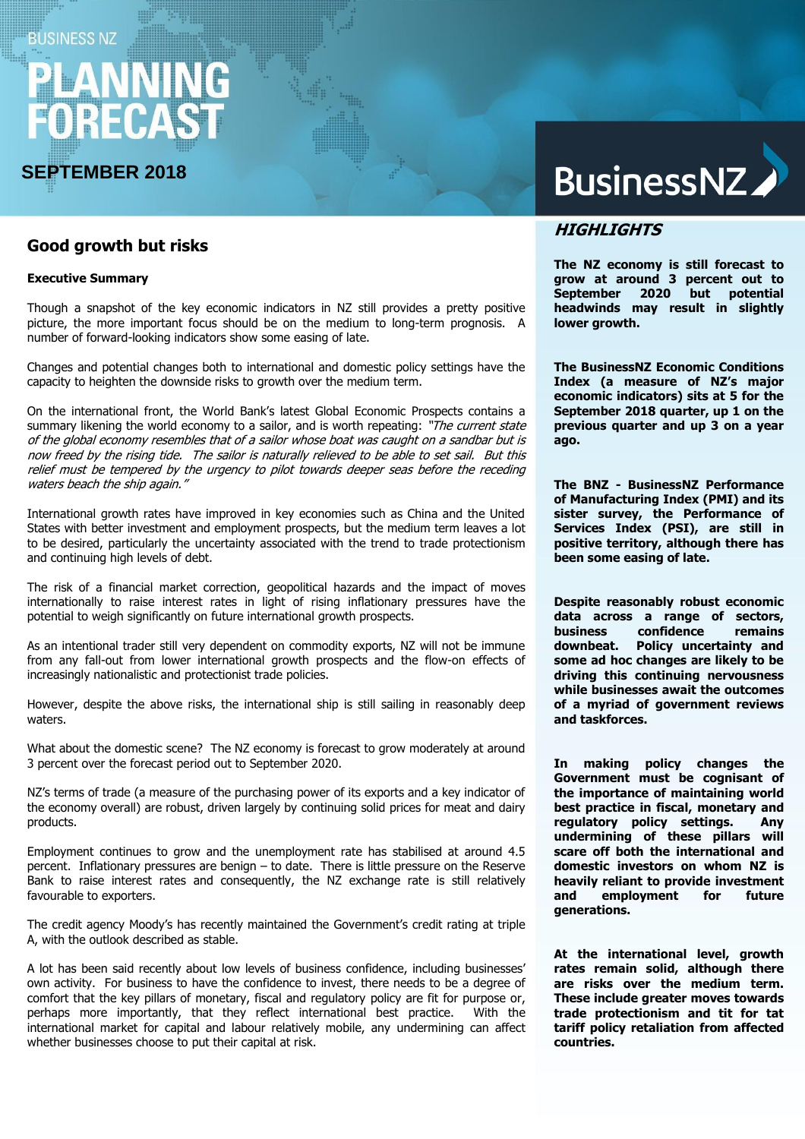## **BUSINESS NZ**

# FORECAST

# **SEPTEMBER 2018**

# **Good growth but risks**

#### **Executive Summary**

Though a snapshot of the key economic indicators in NZ still provides a pretty positive picture, the more important focus should be on the medium to long-term prognosis. A number of forward-looking indicators show some easing of late.

Changes and potential changes both to international and domestic policy settings have the capacity to heighten the downside risks to growth over the medium term.

On the international front, the World Bank's latest Global Economic Prospects contains a summary likening the world economy to a sailor, and is worth repeating: "The current state of the global economy resembles that of a sailor whose boat was caught on a sandbar but is now freed by the rising tide. The sailor is naturally relieved to be able to set sail. But this relief must be tempered by the urgency to pilot towards deeper seas before the receding waters beach the ship again."

International growth rates have improved in key economies such as China and the United States with better investment and employment prospects, but the medium term leaves a lot to be desired, particularly the uncertainty associated with the trend to trade protectionism and continuing high levels of debt.

The risk of a financial market correction, geopolitical hazards and the impact of moves internationally to raise interest rates in light of rising inflationary pressures have the potential to weigh significantly on future international growth prospects.

As an intentional trader still very dependent on commodity exports, NZ will not be immune from any fall-out from lower international growth prospects and the flow-on effects of increasingly nationalistic and protectionist trade policies.

However, despite the above risks, the international ship is still sailing in reasonably deep waters.

What about the domestic scene? The NZ economy is forecast to grow moderately at around 3 percent over the forecast period out to September 2020.

NZ's terms of trade (a measure of the purchasing power of its exports and a key indicator of the economy overall) are robust, driven largely by continuing solid prices for meat and dairy products.

Employment continues to grow and the unemployment rate has stabilised at around 4.5 percent. Inflationary pressures are benign – to date. There is little pressure on the Reserve Bank to raise interest rates and consequently, the NZ exchange rate is still relatively favourable to exporters.

The credit agency Moody's has recently maintained the Government's credit rating at triple A, with the outlook described as stable.

A lot has been said recently about low levels of business confidence, including businesses' own activity. For business to have the confidence to invest, there needs to be a degree of comfort that the key pillars of monetary, fiscal and regulatory policy are fit for purpose or, perhaps more importantly, that they reflect international best practice. With the international market for capital and labour relatively mobile, any undermining can affect whether businesses choose to put their capital at risk.

# **BusinessNZ**

# **HIGHLIGHTS**

**The NZ economy is still forecast to grow at around 3 percent out to September 2020 but potential headwinds may result in slightly lower growth.**

**The BusinessNZ Economic Conditions Index (a measure of NZ's major economic indicators) sits at 5 for the September 2018 quarter, up 1 on the previous quarter and up 3 on a year ago.** 

**The BNZ - BusinessNZ Performance of Manufacturing Index (PMI) and its sister survey, the Performance of Services Index (PSI), are still in positive territory, although there has been some easing of late.**

**Despite reasonably robust economic data across a range of sectors, business confidence remains downbeat. Policy uncertainty and some ad hoc changes are likely to be driving this continuing nervousness while businesses await the outcomes of a myriad of government reviews and taskforces.**

**In making policy changes the Government must be cognisant of the importance of maintaining world best practice in fiscal, monetary and regulatory policy settings. Any undermining of these pillars will scare off both the international and domestic investors on whom NZ is heavily reliant to provide investment and employment for future generations.**

**At the international level, growth rates remain solid, although there are risks over the medium term. These include greater moves towards trade protectionism and tit for tat tariff policy retaliation from affected countries.**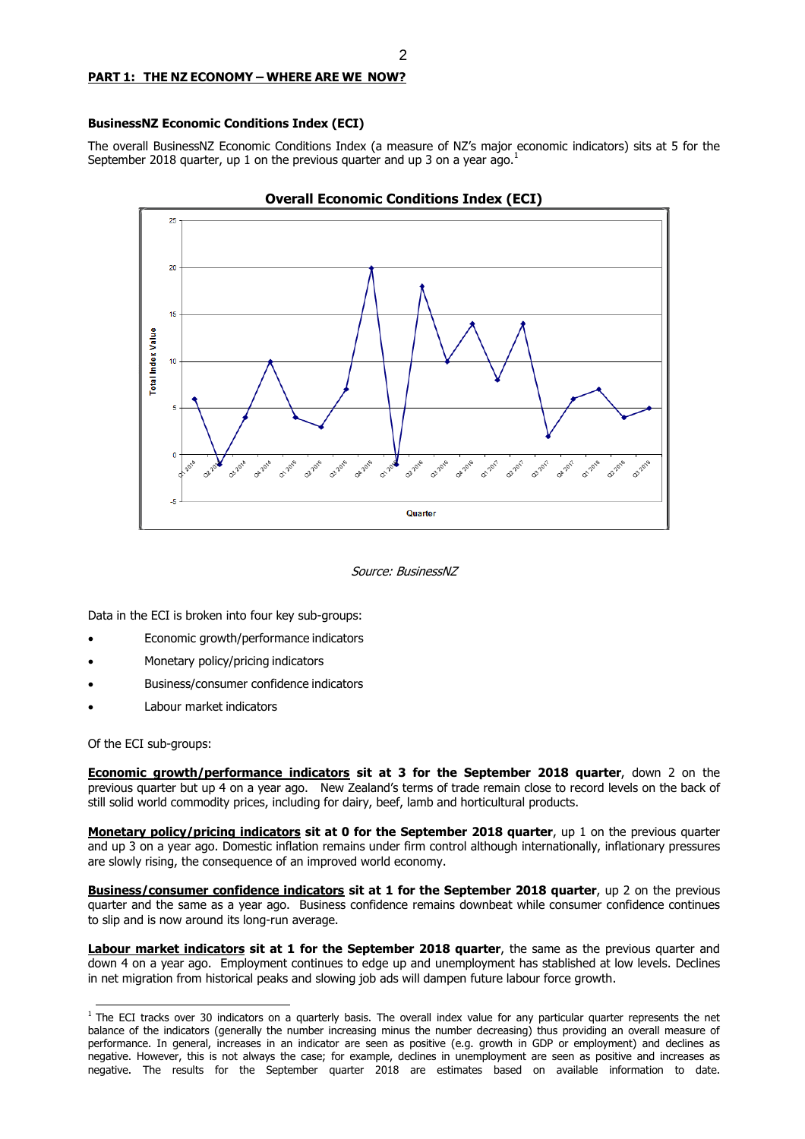#### **PART 1: THE NZ ECONOMY – WHERE ARE WE NOW?**

#### **BusinessNZ Economic Conditions Index (ECI)**

The overall BusinessNZ Economic Conditions Index (a measure of NZ's major economic indicators) sits at 5 for the September 2018 quarter, up 1 on the previous quarter and up 3 on a year ago.<sup>1</sup>



Source: BusinessNZ

Data in the ECI is broken into four key sub-groups:

- Economic growth/performance indicators
- Monetary policy/pricing indicators
- Business/consumer confidence indicators
- Labour market indicators

Of the ECI sub-groups:

**Economic growth/performance indicators sit at 3 for the September 2018 quarter**, down 2 on the previous quarter but up 4 on a year ago. New Zealand's terms of trade remain close to record levels on the back of still solid world commodity prices, including for dairy, beef, lamb and horticultural products.

**Monetary policy/pricing indicators sit at 0 for the September 2018 quarter**, up 1 on the previous quarter and up 3 on a year ago. Domestic inflation remains under firm control although internationally, inflationary pressures are slowly rising, the consequence of an improved world economy.

**Business/consumer confidence indicators sit at 1 for the September 2018 quarter**, up 2 on the previous quarter and the same as a year ago. Business confidence remains downbeat while consumer confidence continues to slip and is now around its long-run average.

**Labour market indicators sit at 1 for the September 2018 quarter**, the same as the previous quarter and down 4 on a year ago. Employment continues to edge up and unemployment has stablished at low levels. Declines in net migration from historical peaks and slowing job ads will dampen future labour force growth.

 $1$  The ECI tracks over 30 indicators on a quarterly basis. The overall index value for any particular quarter represents the net balance of the indicators (generally the number increasing minus the number decreasing) thus providing an overall measure of performance. In general, increases in an indicator are seen as positive (e.g. growth in GDP or employment) and declines as negative. However, this is not always the case; for example, declines in unemployment are seen as positive and increases as negative. The results for the September quarter 2018 are estimates based on available information to date.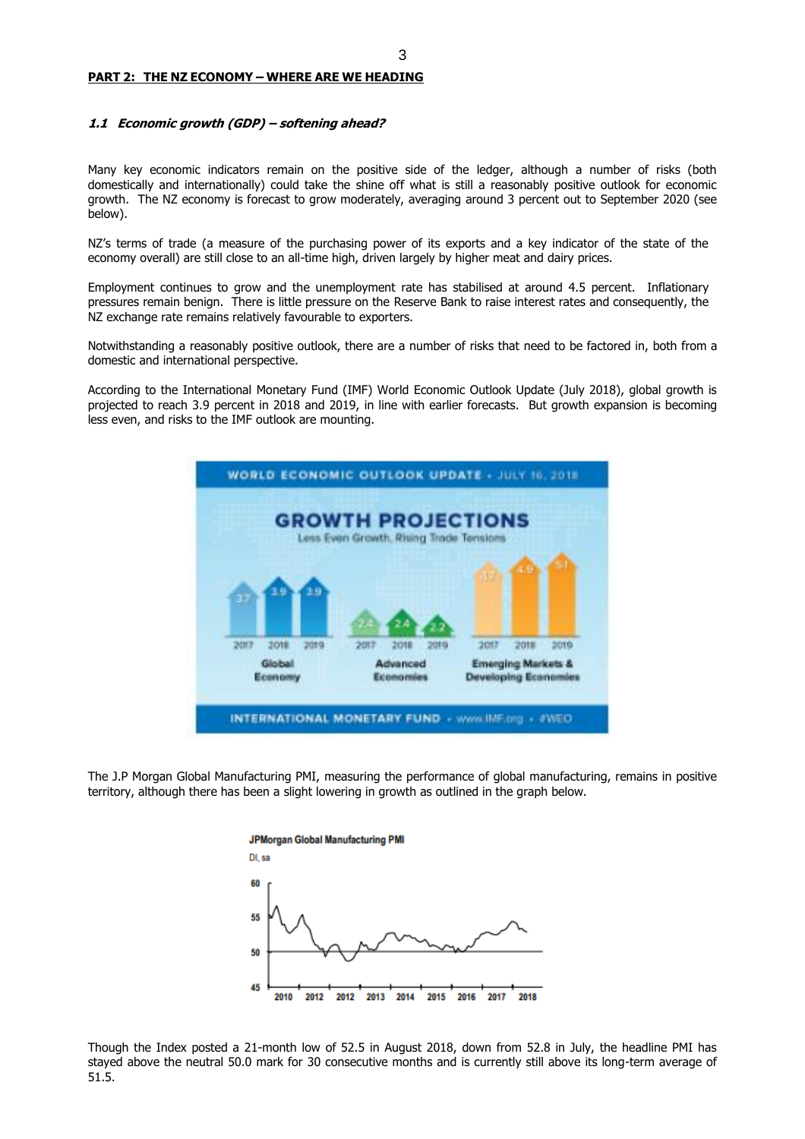#### **PART 2: THE NZ ECONOMY – WHERE ARE WE HEADING**

#### **1.1 Economic growth (GDP) – softening ahead?**

Many key economic indicators remain on the positive side of the ledger, although a number of risks (both domestically and internationally) could take the shine off what is still a reasonably positive outlook for economic growth. The NZ economy is forecast to grow moderately, averaging around 3 percent out to September 2020 (see below).

NZ's terms of trade (a measure of the purchasing power of its exports and a key indicator of the state of the economy overall) are still close to an all-time high, driven largely by higher meat and dairy prices.

Employment continues to grow and the unemployment rate has stabilised at around 4.5 percent. Inflationary pressures remain benign. There is little pressure on the Reserve Bank to raise interest rates and consequently, the NZ exchange rate remains relatively favourable to exporters.

Notwithstanding a reasonably positive outlook, there are a number of risks that need to be factored in, both from a domestic and international perspective.

According to the International Monetary Fund (IMF) World Economic Outlook Update (July 2018), global growth is projected to reach 3.9 percent in 2018 and 2019, in line with earlier forecasts. But growth expansion is becoming less even, and risks to the IMF outlook are mounting.



The J.P Morgan Global Manufacturing PMI, measuring the performance of global manufacturing, remains in positive territory, although there has been a slight lowering in growth as outlined in the graph below.



Though the Index posted a 21-month low of 52.5 in August 2018, down from 52.8 in July, the headline PMI has stayed above the neutral 50.0 mark for 30 consecutive months and is currently still above its long-term average of 51.5.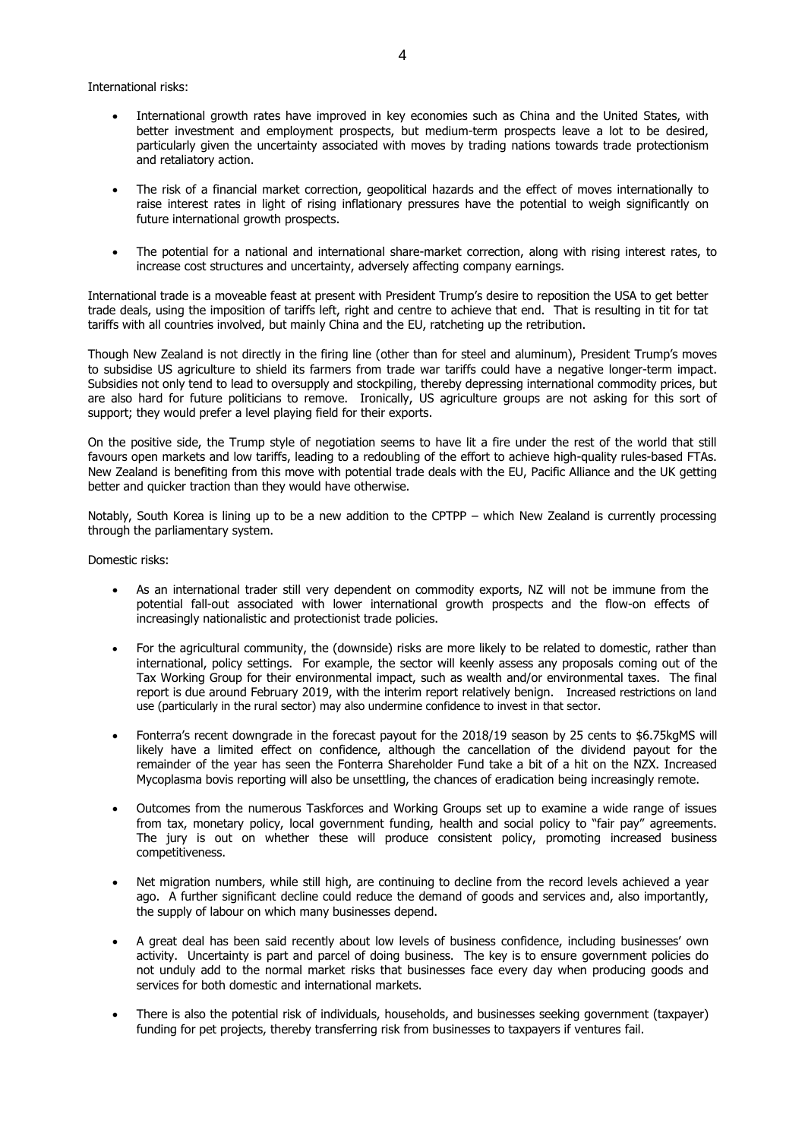International risks:

- International growth rates have improved in key economies such as China and the United States, with better investment and employment prospects, but medium-term prospects leave a lot to be desired, particularly given the uncertainty associated with moves by trading nations towards trade protectionism and retaliatory action.
- The risk of a financial market correction, geopolitical hazards and the effect of moves internationally to raise interest rates in light of rising inflationary pressures have the potential to weigh significantly on future international growth prospects.
- The potential for a national and international share-market correction, along with rising interest rates, to increase cost structures and uncertainty, adversely affecting company earnings.

International trade is a moveable feast at present with President Trump's desire to reposition the USA to get better trade deals, using the imposition of tariffs left, right and centre to achieve that end. That is resulting in tit for tat tariffs with all countries involved, but mainly China and the EU, ratcheting up the retribution.

Though New Zealand is not directly in the firing line (other than for steel and aluminum), President Trump's moves to subsidise US agriculture to shield its farmers from trade war tariffs could have a negative longer-term impact. Subsidies not only tend to lead to oversupply and stockpiling, thereby depressing international commodity prices, but are also hard for future politicians to remove. Ironically, US agriculture groups are not asking for this sort of support; they would prefer a level playing field for their exports.

On the positive side, the Trump style of negotiation seems to have lit a fire under the rest of the world that still favours open markets and low tariffs, leading to a redoubling of the effort to achieve high-quality rules-based FTAs. New Zealand is benefiting from this move with potential trade deals with the EU, Pacific Alliance and the UK getting better and quicker traction than they would have otherwise.

Notably, South Korea is lining up to be a new addition to the CPTPP – which New Zealand is currently processing through the parliamentary system.

Domestic risks:

- As an international trader still very dependent on commodity exports, NZ will not be immune from the potential fall-out associated with lower international growth prospects and the flow-on effects of increasingly nationalistic and protectionist trade policies.
- For the agricultural community, the (downside) risks are more likely to be related to domestic, rather than international, policy settings. For example, the sector will keenly assess any proposals coming out of the Tax Working Group for their environmental impact, such as wealth and/or environmental taxes. The final report is due around February 2019, with the interim report relatively benign. Increased restrictions on land use (particularly in the rural sector) may also undermine confidence to invest in that sector.
- Fonterra's recent downgrade in the forecast payout for the 2018/19 season by 25 cents to \$6.75kgMS will likely have a limited effect on confidence, although the cancellation of the dividend payout for the remainder of the year has seen the Fonterra Shareholder Fund take a bit of a hit on the NZX. Increased Mycoplasma bovis reporting will also be unsettling, the chances of eradication being increasingly remote.
- Outcomes from the numerous Taskforces and Working Groups set up to examine a wide range of issues from tax, monetary policy, local government funding, health and social policy to "fair pay" agreements. The jury is out on whether these will produce consistent policy, promoting increased business competitiveness.
- Net migration numbers, while still high, are continuing to decline from the record levels achieved a year ago. A further significant decline could reduce the demand of goods and services and, also importantly, the supply of labour on which many businesses depend.
- A great deal has been said recently about low levels of business confidence, including businesses' own activity. Uncertainty is part and parcel of doing business. The key is to ensure government policies do not unduly add to the normal market risks that businesses face every day when producing goods and services for both domestic and international markets.
- There is also the potential risk of individuals, households, and businesses seeking government (taxpayer) funding for pet projects, thereby transferring risk from businesses to taxpayers if ventures fail.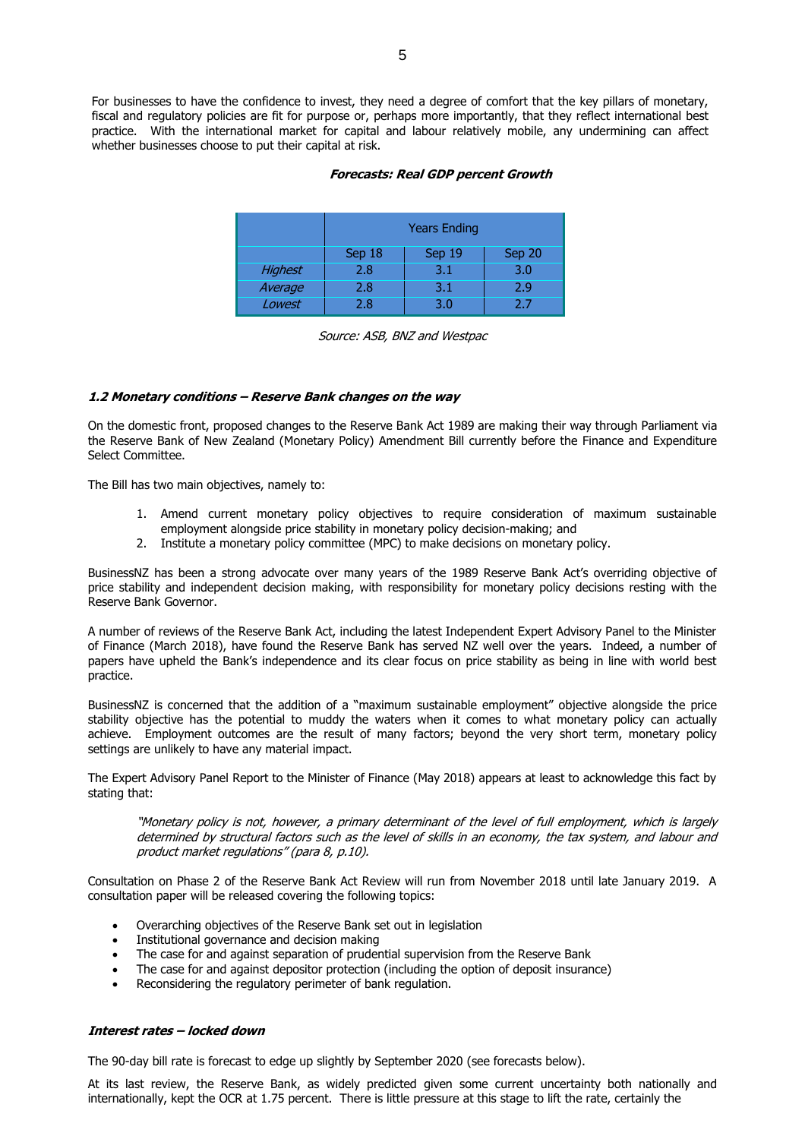For businesses to have the confidence to invest, they need a degree of comfort that the key pillars of monetary, fiscal and regulatory policies are fit for purpose or, perhaps more importantly, that they reflect international best practice. With the international market for capital and labour relatively mobile, any undermining can affect whether businesses choose to put their capital at risk.

#### **Forecasts: Real GDP percent Growth**

|                | <b>Years Ending</b>        |     |     |  |  |
|----------------|----------------------------|-----|-----|--|--|
|                | Sep 19<br>Sep 20<br>Sep 18 |     |     |  |  |
| <b>Highest</b> | 2.8                        | 3.1 | 3.0 |  |  |
| Average        | 2.8                        | 3.1 | 2.9 |  |  |
| Lowest         | 2.8                        | 3.0 | 2.7 |  |  |

Source: ASB, BNZ and Westpac

#### **1.2 Monetary conditions – Reserve Bank changes on the way**

On the domestic front, proposed changes to the Reserve Bank Act 1989 are making their way through Parliament via the Reserve Bank of New Zealand (Monetary Policy) Amendment Bill currently before the Finance and Expenditure Select Committee.

The Bill has two main objectives, namely to:

- 1. Amend current monetary policy objectives to require consideration of maximum sustainable employment alongside price stability in monetary policy decision-making; and
- 2. Institute a monetary policy committee (MPC) to make decisions on monetary policy.

BusinessNZ has been a strong advocate over many years of the 1989 Reserve Bank Act's overriding objective of price stability and independent decision making, with responsibility for monetary policy decisions resting with the Reserve Bank Governor.

A number of reviews of the Reserve Bank Act, including the latest Independent Expert Advisory Panel to the Minister of Finance (March 2018), have found the Reserve Bank has served NZ well over the years. Indeed, a number of papers have upheld the Bank's independence and its clear focus on price stability as being in line with world best practice.

BusinessNZ is concerned that the addition of a "maximum sustainable employment" objective alongside the price stability objective has the potential to muddy the waters when it comes to what monetary policy can actually achieve. Employment outcomes are the result of many factors; beyond the very short term, monetary policy settings are unlikely to have any material impact.

The Expert Advisory Panel Report to the Minister of Finance (May 2018) appears at least to acknowledge this fact by stating that:

"Monetary policy is not, however, a primary determinant of the level of full employment, which is largely determined by structural factors such as the level of skills in an economy, the tax system, and labour and product market regulations" (para 8, p.10).

Consultation on Phase 2 of the Reserve Bank Act Review will run from November 2018 until late January 2019. A consultation paper will be released covering the following topics:

- Overarching objectives of the Reserve Bank set out in legislation
- Institutional governance and decision making
- The case for and against separation of prudential supervision from the Reserve Bank
- The case for and against depositor protection (including the option of deposit insurance)
- Reconsidering the regulatory perimeter of bank regulation.

#### **Interest rates – locked down**

The 90-day bill rate is forecast to edge up slightly by September 2020 (see forecasts below).

At its last review, the Reserve Bank, as widely predicted given some current uncertainty both nationally and internationally, kept the OCR at 1.75 percent. There is little pressure at this stage to lift the rate, certainly the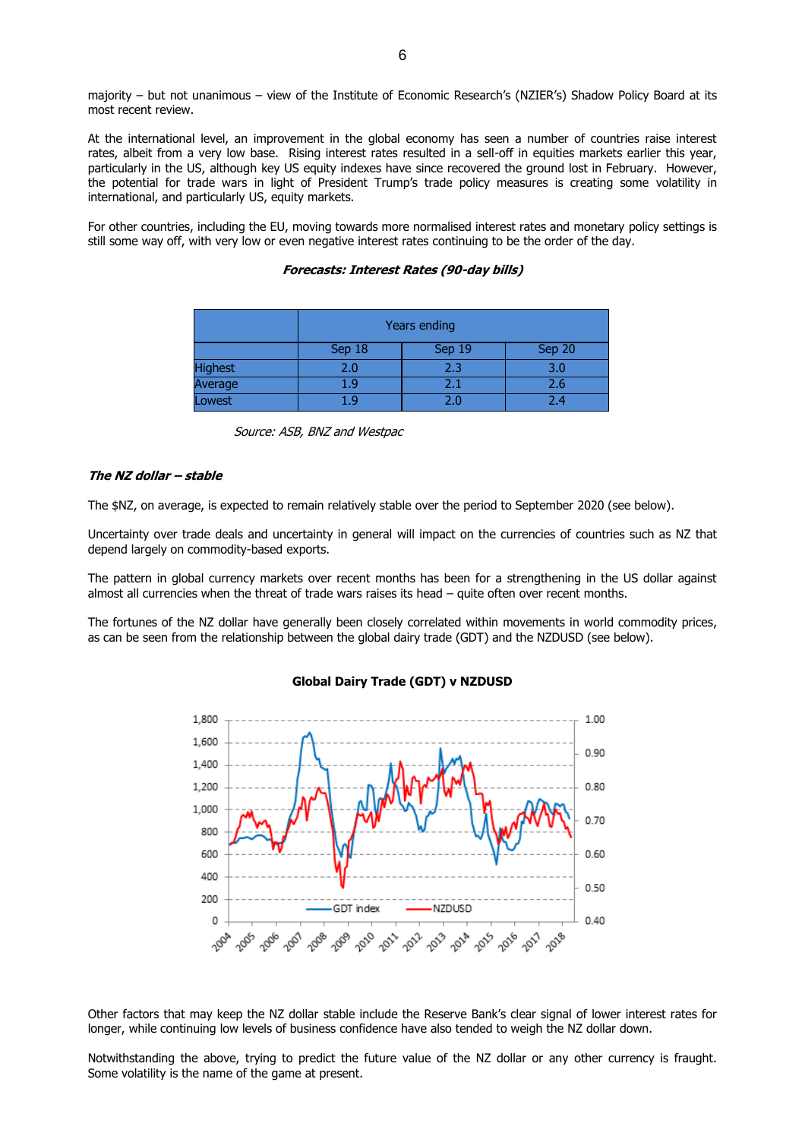majority – but not unanimous – view of the Institute of Economic Research's (NZIER's) Shadow Policy Board at its most recent review.

At the international level, an improvement in the global economy has seen a number of countries raise interest rates, albeit from a very low base. Rising interest rates resulted in a sell-off in equities markets earlier this year, particularly in the US, although key US equity indexes have since recovered the ground lost in February. However, the potential for trade wars in light of President Trump's trade policy measures is creating some volatility in international, and particularly US, equity markets.

For other countries, including the EU, moving towards more normalised interest rates and monetary policy settings is still some way off, with very low or even negative interest rates continuing to be the order of the day.

|                | Years ending               |     |     |  |  |
|----------------|----------------------------|-----|-----|--|--|
|                | Sep 18<br>Sep 19<br>Sep 20 |     |     |  |  |
| <b>Highest</b> | 2.0                        | 2.3 | 3.0 |  |  |
| Average        | 1.9                        | 2.1 | 2.6 |  |  |
| Lowest         | ∣q                         | 2.0 | 24  |  |  |

**Forecasts: Interest Rates (90-day bills)**

|  |  |  |  | Source: ASB, BNZ and Westpac |
|--|--|--|--|------------------------------|
|--|--|--|--|------------------------------|

#### **The NZ dollar – stable**

The \$NZ, on average, is expected to remain relatively stable over the period to September 2020 (see below).

Uncertainty over trade deals and uncertainty in general will impact on the currencies of countries such as NZ that depend largely on commodity-based exports.

The pattern in global currency markets over recent months has been for a strengthening in the US dollar against almost all currencies when the threat of trade wars raises its head – quite often over recent months.

The fortunes of the NZ dollar have generally been closely correlated within movements in world commodity prices, as can be seen from the relationship between the global dairy trade (GDT) and the NZDUSD (see below).



#### **Global Dairy Trade (GDT) v NZDUSD**

Other factors that may keep the NZ dollar stable include the Reserve Bank's clear signal of lower interest rates for longer, while continuing low levels of business confidence have also tended to weigh the NZ dollar down.

Notwithstanding the above, trying to predict the future value of the NZ dollar or any other currency is fraught. Some volatility is the name of the game at present.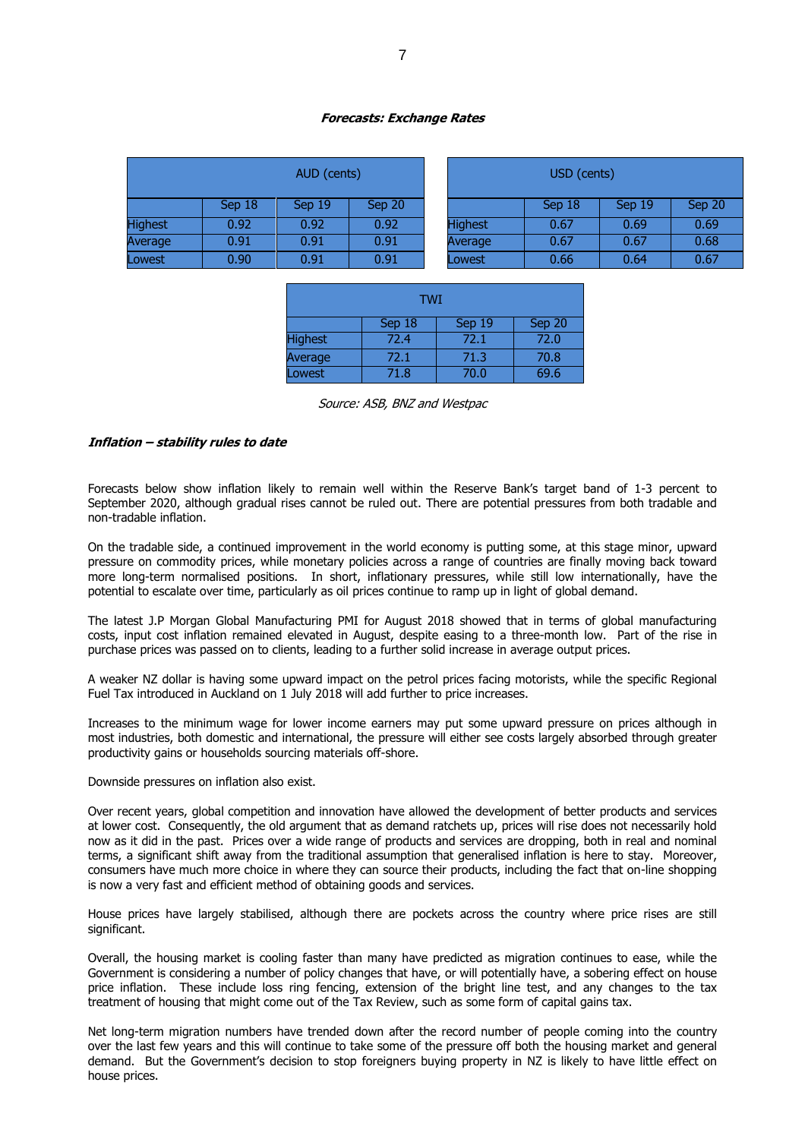#### **Forecasts: Exchange Rates**

| AUD (cents)    |        |        | USD (cents) |                |        |        |        |
|----------------|--------|--------|-------------|----------------|--------|--------|--------|
|                | Sep 18 | Sep 19 | Sep 20      |                | Sep 18 | Sep 19 | Sep 20 |
| <b>Highest</b> | 0.92   | 0.92   | 0.92        | <b>Highest</b> | 0.67   | 0.69   | 0.69   |
| Average        | 0.91   | 0.91   | 0.91        | Average        | 0.67   | 0.67   | 0.68   |
| Lowest         | 0.90   | 0.91   | 0.91        | Lowest         | 0.66   | 0.64   | 0.67   |

| <b>TWI</b>     |        |        |        |  |  |
|----------------|--------|--------|--------|--|--|
|                | Sep 18 | Sep 19 | Sep 20 |  |  |
| <b>Highest</b> | 72.4   | 72.1   | 72.0   |  |  |
| <b>Average</b> | 72.1   | 71.3   | 70.8   |  |  |
| <b>Lowest</b>  | 71.8   | 70.0   | 69.6   |  |  |

Source: ASB, BNZ and Westpac

#### **Inflation – stability rules to date**

Forecasts below show inflation likely to remain well within the Reserve Bank's target band of 1-3 percent to September 2020, although gradual rises cannot be ruled out. There are potential pressures from both tradable and non-tradable inflation.

On the tradable side, a continued improvement in the world economy is putting some, at this stage minor, upward pressure on commodity prices, while monetary policies across a range of countries are finally moving back toward more long-term normalised positions. In short, inflationary pressures, while still low internationally, have the potential to escalate over time, particularly as oil prices continue to ramp up in light of global demand.

The latest J.P Morgan Global Manufacturing PMI for August 2018 showed that in terms of global manufacturing costs, input cost inflation remained elevated in August, despite easing to a three-month low. Part of the rise in purchase prices was passed on to clients, leading to a further solid increase in average output prices.

A weaker NZ dollar is having some upward impact on the petrol prices facing motorists, while the specific Regional Fuel Tax introduced in Auckland on 1 July 2018 will add further to price increases.

Increases to the minimum wage for lower income earners may put some upward pressure on prices although in most industries, both domestic and international, the pressure will either see costs largely absorbed through greater productivity gains or households sourcing materials off-shore.

#### Downside pressures on inflation also exist.

Over recent years, global competition and innovation have allowed the development of better products and services at lower cost. Consequently, the old argument that as demand ratchets up, prices will rise does not necessarily hold now as it did in the past. Prices over a wide range of products and services are dropping, both in real and nominal terms, a significant shift away from the traditional assumption that generalised inflation is here to stay. Moreover, consumers have much more choice in where they can source their products, including the fact that on-line shopping is now a very fast and efficient method of obtaining goods and services.

House prices have largely stabilised, although there are pockets across the country where price rises are still significant.

Overall, the housing market is cooling faster than many have predicted as migration continues to ease, while the Government is considering a number of policy changes that have, or will potentially have, a sobering effect on house price inflation. These include loss ring fencing, extension of the bright line test, and any changes to the tax treatment of housing that might come out of the Tax Review, such as some form of capital gains tax.

Net long-term migration numbers have trended down after the record number of people coming into the country over the last few years and this will continue to take some of the pressure off both the housing market and general demand. But the Government's decision to stop foreigners buying property in NZ is likely to have little effect on house prices.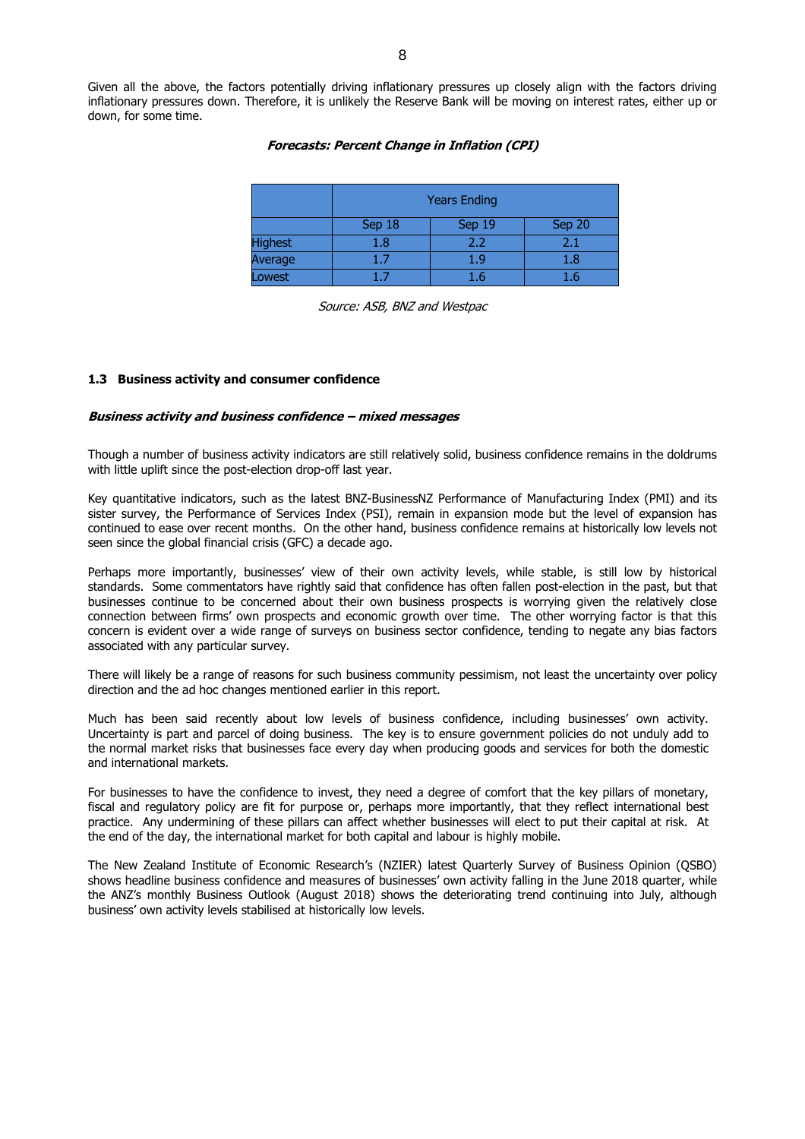Given all the above, the factors potentially driving inflationary pressures up closely align with the factors driving inflationary pressures down. Therefore, it is unlikely the Reserve Bank will be moving on interest rates, either up or down, for some time.

#### **Forecasts: Percent Change in Inflation (CPI)**

|                | <b>Years Ending</b>        |     |     |  |  |  |
|----------------|----------------------------|-----|-----|--|--|--|
|                | Sep 18<br>Sep 20<br>Sep 19 |     |     |  |  |  |
| <b>Highest</b> | $1.8\,$                    | 2.2 | 2.1 |  |  |  |
| Average        | 17                         | 1.9 | 1.8 |  |  |  |
| Lowest         |                            | l.6 | Ιh  |  |  |  |

Source: ASB, BNZ and Westpac

#### **1.3 Business activity and consumer confidence**

#### **Business activity and business confidence – mixed messages**

Though a number of business activity indicators are still relatively solid, business confidence remains in the doldrums with little uplift since the post-election drop-off last year.

Key quantitative indicators, such as the latest BNZ-BusinessNZ Performance of Manufacturing Index (PMI) and its sister survey, the Performance of Services Index (PSI), remain in expansion mode but the level of expansion has continued to ease over recent months. On the other hand, business confidence remains at historically low levels not seen since the global financial crisis (GFC) a decade ago.

Perhaps more importantly, businesses' view of their own activity levels, while stable, is still low by historical standards. Some commentators have rightly said that confidence has often fallen post-election in the past, but that businesses continue to be concerned about their own business prospects is worrying given the relatively close connection between firms' own prospects and economic growth over time. The other worrying factor is that this concern is evident over a wide range of surveys on business sector confidence, tending to negate any bias factors associated with any particular survey.

There will likely be a range of reasons for such business community pessimism, not least the uncertainty over policy direction and the ad hoc changes mentioned earlier in this report.

Much has been said recently about low levels of business confidence, including businesses' own activity. Uncertainty is part and parcel of doing business. The key is to ensure government policies do not unduly add to the normal market risks that businesses face every day when producing goods and services for both the domestic and international markets.

For businesses to have the confidence to invest, they need a degree of comfort that the key pillars of monetary, fiscal and regulatory policy are fit for purpose or, perhaps more importantly, that they reflect international best practice. Any undermining of these pillars can affect whether businesses will elect to put their capital at risk. At the end of the day, the international market for both capital and labour is highly mobile.

The New Zealand Institute of Economic Research's (NZIER) latest Quarterly Survey of Business Opinion (QSBO) shows headline business confidence and measures of businesses' own activity falling in the June 2018 quarter, while the ANZ's monthly Business Outlook (August 2018) shows the deteriorating trend continuing into July, although business' own activity levels stabilised at historically low levels.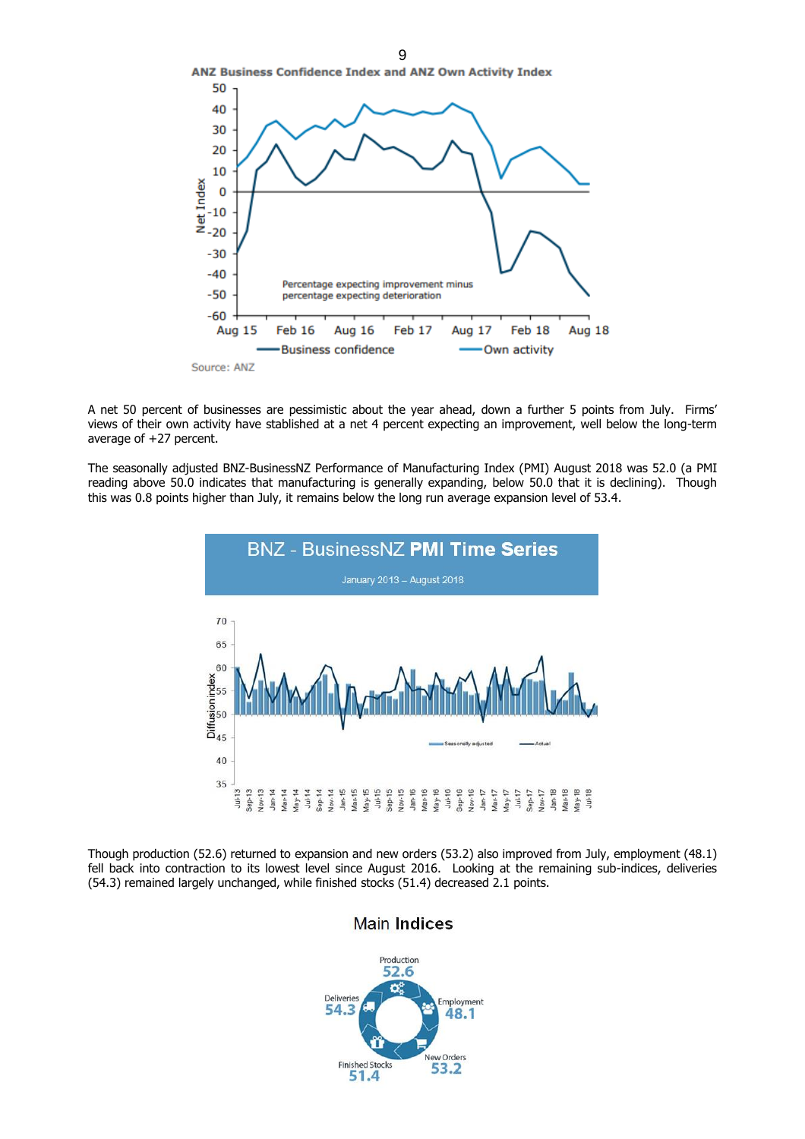

A net 50 percent of businesses are pessimistic about the year ahead, down a further 5 points from July. Firms' views of their own activity have stablished at a net 4 percent expecting an improvement, well below the long-term average of +27 percent.

The seasonally adjusted BNZ-BusinessNZ Performance of Manufacturing Index (PMI) August 2018 was 52.0 (a PMI reading above 50.0 indicates that manufacturing is generally expanding, below 50.0 that it is declining). Though this was 0.8 points higher than July, it remains below the long run average expansion level of 53.4.



Though production (52.6) returned to expansion and new orders (53.2) also improved from July, employment (48.1) fell back into contraction to its lowest level since August 2016. Looking at the remaining sub-indices, deliveries (54.3) remained largely unchanged, while finished stocks (51.4) decreased 2.1 points.

## **Main Indices**

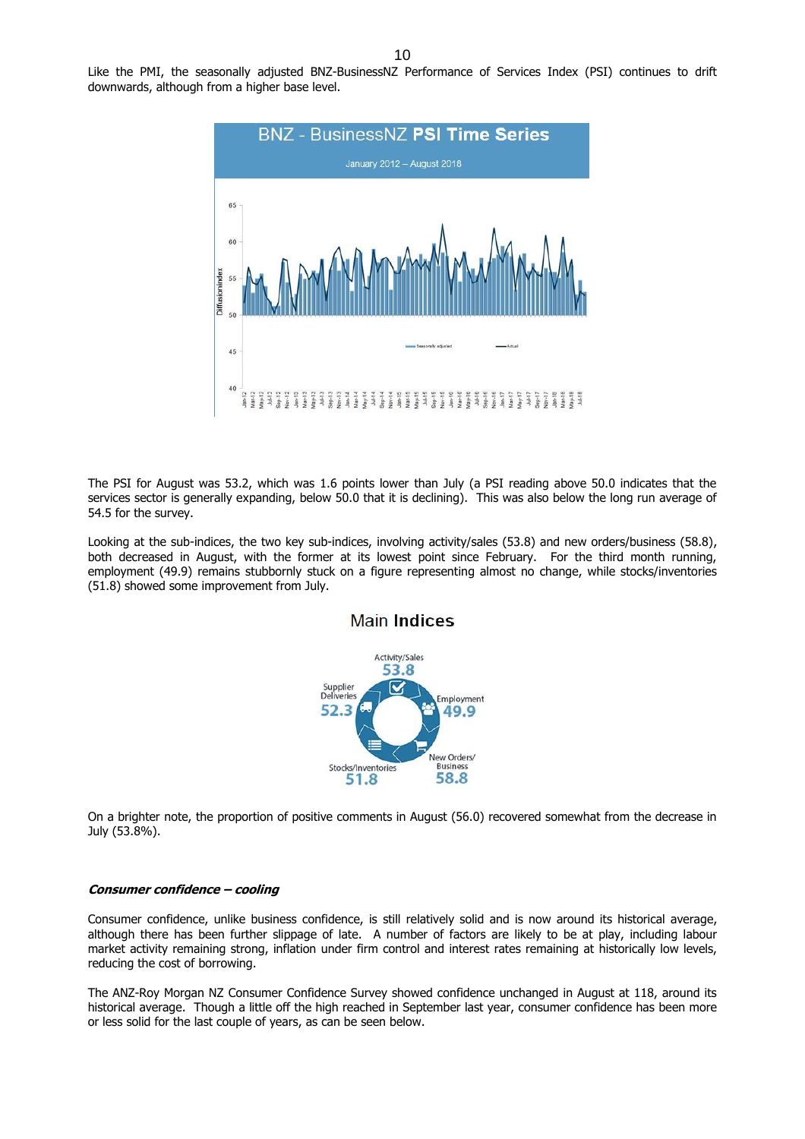Like the PMI, the seasonally adjusted BNZ-BusinessNZ Performance of Services Index (PSI) continues to drift downwards, although from a higher base level.



The PSI for August was 53.2, which was 1.6 points lower than July (a PSI reading above 50.0 indicates that the services sector is generally expanding, below 50.0 that it is declining). This was also below the long run average of 54.5 for the survey.

Looking at the sub-indices, the two key sub-indices, involving activity/sales (53.8) and new orders/business (58.8), both decreased in August, with the former at its lowest point since February. For the third month running, employment (49.9) remains stubbornly stuck on a figure representing almost no change, while stocks/inventories (51.8) showed some improvement from July.



#### **Main Indices**

On a brighter note, the proportion of positive comments in August (56.0) recovered somewhat from the decrease in July (53.8%).

#### **Consumer confidence – cooling**

Consumer confidence, unlike business confidence, is still relatively solid and is now around its historical average, although there has been further slippage of late. A number of factors are likely to be at play, including labour market activity remaining strong, inflation under firm control and interest rates remaining at historically low levels, reducing the cost of borrowing.

The ANZ-Roy Morgan NZ Consumer Confidence Survey showed confidence unchanged in August at 118, around its historical average. Though a little off the high reached in September last year, consumer confidence has been more or less solid for the last couple of years, as can be seen below.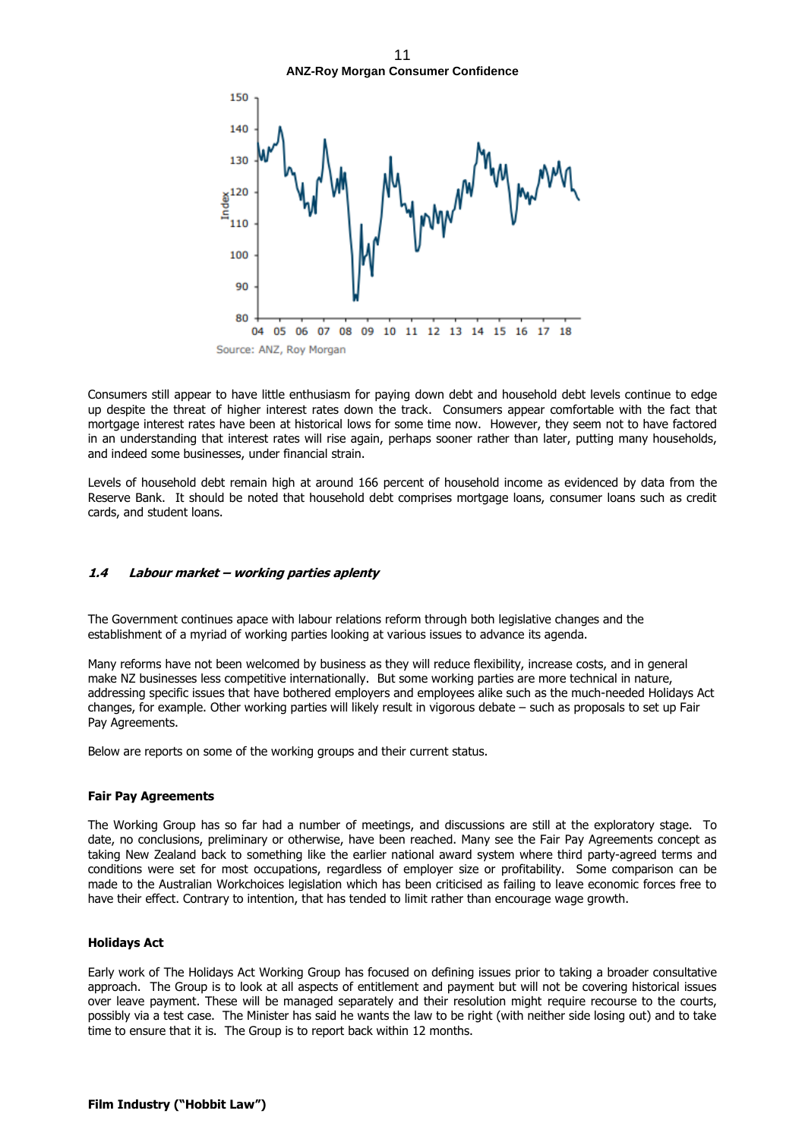11 **ANZ-Roy Morgan Consumer Confidence**



Consumers still appear to have little enthusiasm for paying down debt and household debt levels continue to edge up despite the threat of higher interest rates down the track. Consumers appear comfortable with the fact that mortgage interest rates have been at historical lows for some time now. However, they seem not to have factored in an understanding that interest rates will rise again, perhaps sooner rather than later, putting many households, and indeed some businesses, under financial strain.

Levels of household debt remain high at around 166 percent of household income as evidenced by data from the Reserve Bank. It should be noted that household debt comprises mortgage loans, consumer loans such as credit cards, and student loans.

#### **1.4 Labour market – working parties aplenty**

The Government continues apace with labour relations reform through both legislative changes and the establishment of a myriad of working parties looking at various issues to advance its agenda.

Many reforms have not been welcomed by business as they will reduce flexibility, increase costs, and in general make NZ businesses less competitive internationally. But some working parties are more technical in nature, addressing specific issues that have bothered employers and employees alike such as the much-needed Holidays Act changes, for example. Other working parties will likely result in vigorous debate – such as proposals to set up Fair Pay Agreements.

Below are reports on some of the working groups and their current status.

#### **Fair Pay Agreements**

The Working Group has so far had a number of meetings, and discussions are still at the exploratory stage. To date, no conclusions, preliminary or otherwise, have been reached. Many see the Fair Pay Agreements concept as taking New Zealand back to something like the earlier national award system where third party-agreed terms and conditions were set for most occupations, regardless of employer size or profitability. Some comparison can be made to the Australian Workchoices legislation which has been criticised as failing to leave economic forces free to have their effect. Contrary to intention, that has tended to limit rather than encourage wage growth.

#### **Holidays Act**

Early work of The Holidays Act Working Group has focused on defining issues prior to taking a broader consultative approach. The Group is to look at all aspects of entitlement and payment but will not be covering historical issues over leave payment. These will be managed separately and their resolution might require recourse to the courts, possibly via a test case. The Minister has said he wants the law to be right (with neither side losing out) and to take time to ensure that it is. The Group is to report back within 12 months.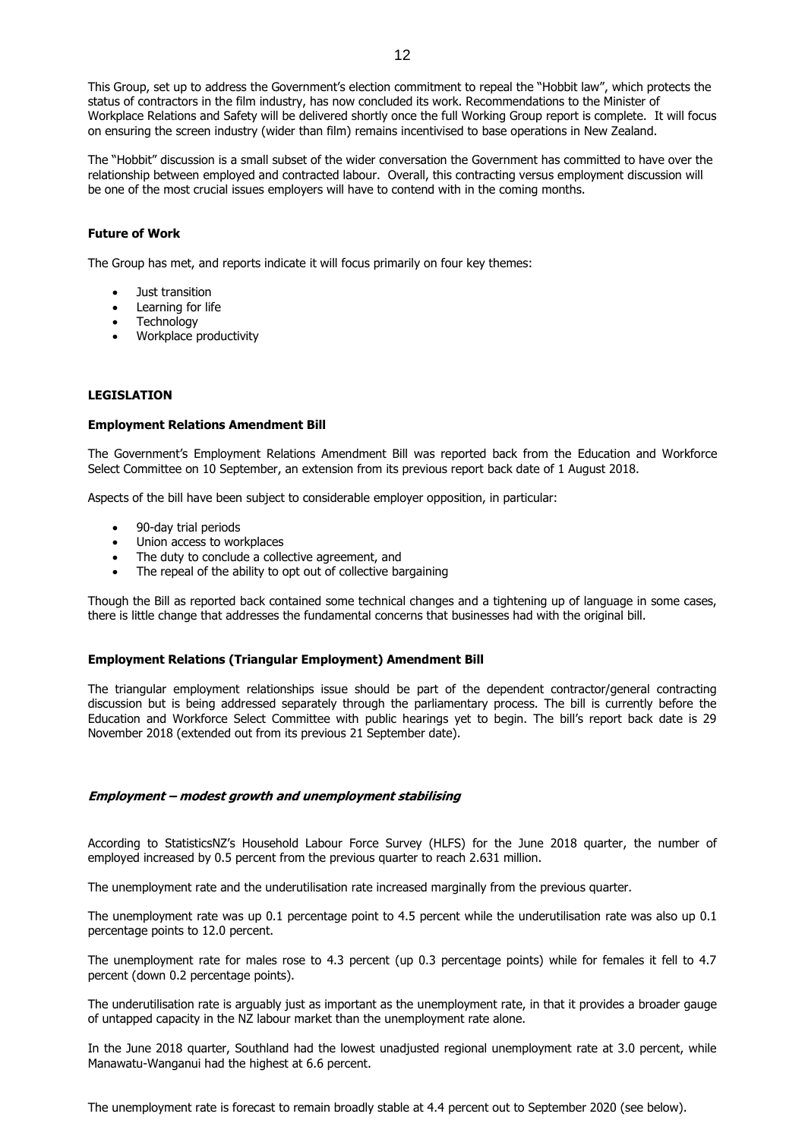This Group, set up to address the Government's election commitment to repeal the "Hobbit law", which protects the status of contractors in the film industry, has now concluded its work. Recommendations to the Minister of Workplace Relations and Safety will be delivered shortly once the full Working Group report is complete. It will focus on ensuring the screen industry (wider than film) remains incentivised to base operations in New Zealand.

The "Hobbit" discussion is a small subset of the wider conversation the Government has committed to have over the relationship between employed and contracted labour. Overall, this contracting versus employment discussion will be one of the most crucial issues employers will have to contend with in the coming months.

#### **Future of Work**

The Group has met, and reports indicate it will focus primarily on four key themes:

- Just transition
- Learning for life
- Technology
- Workplace productivity

#### **LEGISLATION**

#### **Employment Relations Amendment Bill**

The Government's Employment Relations Amendment Bill was reported back from the Education and Workforce Select Committee on 10 September, an extension from its previous report back date of 1 August 2018.

Aspects of the bill have been subject to considerable employer opposition, in particular:

- 90-day trial periods
- Union access to workplaces
- The duty to conclude a collective agreement, and
- The repeal of the ability to opt out of collective bargaining

Though the Bill as reported back contained some technical changes and a tightening up of language in some cases, there is little change that addresses the fundamental concerns that businesses had with the original bill.

#### **Employment Relations (Triangular Employment) Amendment Bill**

The triangular employment relationships issue should be part of the dependent contractor/general contracting discussion but is being addressed separately through the parliamentary process. The bill is currently before the Education and Workforce Select Committee with public hearings yet to begin. The bill's report back date is 29 November 2018 (extended out from its previous 21 September date).

#### **Employment – modest growth and unemployment stabilising**

According to StatisticsNZ's Household Labour Force Survey (HLFS) for the June 2018 quarter, the number of employed increased by 0.5 percent from the previous quarter to reach 2.631 million.

The unemployment rate and the underutilisation rate increased marginally from the previous quarter.

The unemployment rate was up 0.1 percentage point to 4.5 percent while the underutilisation rate was also up 0.1 percentage points to 12.0 percent.

The unemployment rate for males rose to 4.3 percent (up 0.3 percentage points) while for females it fell to 4.7 percent (down 0.2 percentage points).

The underutilisation rate is arguably just as important as the unemployment rate, in that it provides a broader gauge of untapped capacity in the NZ labour market than the unemployment rate alone.

In the June 2018 quarter, Southland had the lowest unadjusted regional unemployment rate at 3.0 percent, while Manawatu-Wanganui had the highest at 6.6 percent.